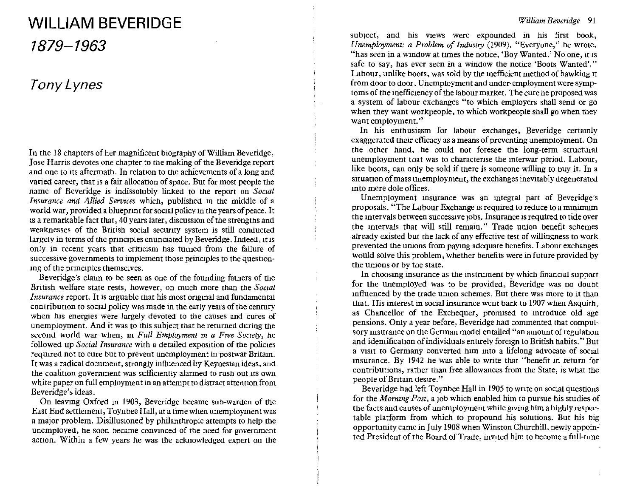# **WILLlAM BEVERIDGE 1879-1963**

## Tony Lynes

In the 18 chapters of her magnificent biography of William Beveridge, **Jose Harris devotes one chapter to the making of the Beveridge report**  and one to its aftermath. In relation to the achievements of a long and vaned career, that is a fair allocation of space. But for most people the name of Beveridge is indissolubly linked to the report on *Social Insurance and Allied Services* which, published in the middle of a world war, provided a blueprint for social policy in the years of peace. It IS a remarkable fact that, 40 years later, discussion of the strengths and **weaknesses of the British social secunty system is still conducted**  largely in terms of the principles enunciated by Beveridge. Indeed, it is only in recent years that criticism has turned from the failure of successive governments to implement those principles to the questioning of the principles themselves.

Beveridge's claim to be seen as one of the founding fathers of the **British welfare state rests, however. on much more than the** *SoctaL Insurance* **report. It is arguable that his most ongmal and fundamental**  contribution to social policy was made in the early years of the century **when his energies were largely devoted. to the causes and cures of unemployment. And it was to this subject that he returned during the second world war When, III** *Full Employmenl* **m** *a Free Soctely,* **he**  followed up *Social Insurance* with a detailed exposition of the policies **reqUIred not to cure but to prevent unemployment in postwar Britam. It was a radical document, strongly influenced by Keynesian ideas, and the coalition government was sufficiently alarmed to rush out ItS own**  white paper on full employment in an attempt to distract attention from Beveridge's ideas.

On leaving Oxford in 1903, Beveridge became sub-warden of the **East End settlement, Toynbee Hall, at a** time when unemployment was a major problem. Disillusioned by philanthropic attempts to help the unemployed, he soon became convinced of the need for government **actlon.** *Within* **a few years he was the acknowledged expert on the** 

subject, and his views were expounded in his first book, *Unemployment: a Problem of Industry* (1909). "Everyone," he wrote, **"has seen in a window at tunes the notice, 'Boy Wanted.' No one, it JS safe to say, has ever seen in a window the notice 'Boots Wanted'."**  Labour, unlike boots, was sold by the mefficient method of hawking it **from door to door. Unemployment and under-employment were symp**toms of the mefficlency of the labour market. The cure he proposed was **a system of labour exchanges "to which employers shall send or go**  when they want workpeople, to which workpeople shall go when they **want employment."** 

In his enthusiasm for labour exchanges, Beveridge certainly exaggerated their efficacy as a means of preventing unemployment. On the other hand, he could not foresee the long-term structural unemployment that was to characterise the interwar period. Labour, like boots, can only be sold if there is someone willing to buy it. In a **situauon of mass unemployment, the exchanges inevitably degenerated**  mto mere dole offices.

Unemployment insurance was an integral part of Beveridge's **proposals. "The Labour Exchange IS required to reduce to a nunimum**  the mtervals between successive jobs. Insurance is required to tide over the intervals that will still remain." Trade union benefit schemes already existed but the lack of any effective test of willingness to work prevented the umons from paying adequate benefits. Labour exchanges would solve this problem, whether benefits were in future provided by **the unions or by the state.** 

**In choosing insurance as the instrument by which financial support**  for the unemployed was to be provided, Beveridge was no doubt **Influenced by the trade Union schemes. But there was more to it than that. His interest in social insurance went back to 1907 when Asquith,**  as Chancellor of the Exchequer, promised to introduce old age **pensions. Only a year before. Beveridge had commented that compulsory Insurance on the German model entailed "an amount of regulatlon**  and identification of individuals entirely foreign to British habits." But a visit to Germany converted him into a lifelong advocate of social **Insurance. By 1942 he was able to write that "benefit In return for contributions, rather than free allowances from the State, IS what the**  people of Britain desire."

Beveridge had left Toynbee Hall in 1905 to write on social questions for the *Morning Post*, a job which enabled him to pursue his studies of the facts and causes of unemployment while giving him a highly respectable platform from which to propound his solutions. But his big opportumty came in July 1908 when Winston Churchill, newlyappointed President of the Board of Trade, invited him to become a full-time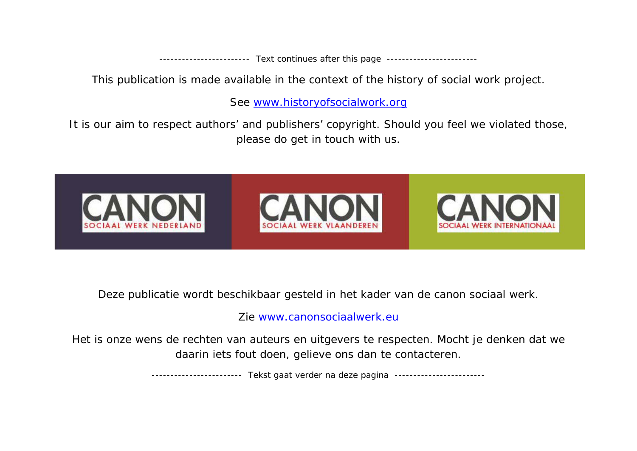------------------------- Text continues after this page ------------------------

This publication is made available in the context of the history of social work project.

See www.historyofsocialwork.org

It is our aim to respect authors' and publishers' copyright. Should you feel we violated those, please do get in touch with us.



Deze publicatie wordt beschikbaar gesteld in het kader van de canon sociaal werk.

Zie www.canonsociaalwerk.eu

Het is onze wens de rechten van auteurs en uitgevers te respecten. Mocht je denken dat we daarin iets fout doen, gelieve ons dan te contacteren.

------------------------ Tekst gaat verder na deze pagina -----------------------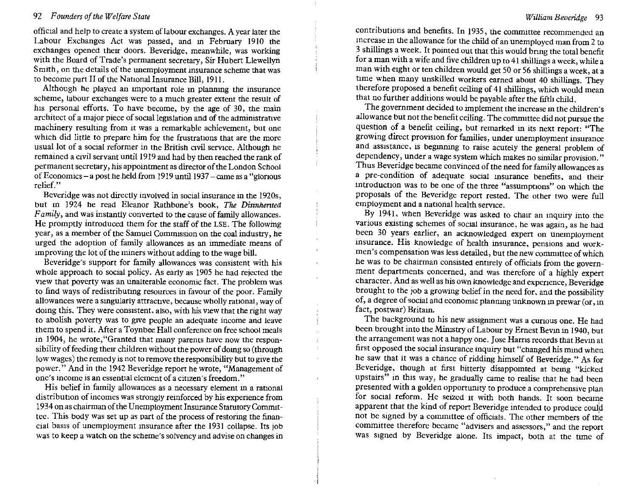#### *92 Founders of tile Welfare State*

official and help to create a system of labour exchanges. A year later the Labour Exchanges Act was passed, and in February 1910 the exchanges opened their doors. Beveridge, meanwhile, was working with the Board of Trade's permanent secretary, Sir Hubert Llewellyn **Smith, on the details of the unemployment insurance scheme that was**  to become part II of the National Insurance Bill, 1911.

Although he played an important role in planning the insurance **scheme, labour eXChanges were to a much greater extent the result of**  his personal efforts. To have become, by the age of 30, the main architect of a major piece of social legislation and of the administrative **machinery resulting from it was a remarkable achievement, but one**  which did little to prepare him for the frustrations that are the more usual lot of a social reformer in the British civil service. Although he remained a civil servant until 1919 and had by then reached the rank of **permanent secretary, his appointment as director of the London School**  of Economics - a post he held from 1919 until 1937 - came as a "glorious" **relief. "** 

**Beveridge was not directly involved in social insurance in the 19208,**  but in 1924 he read Eleanor Rathbone's book, *The Disinherited Family*, and was instantly converted to the cause of family allowances. He promptly introduced them for the staff of the LSE. The following **year, as a member of the Samuel Commission on the coal industry, he urged the adoption of family allowances as an immediate means of**  Improvmg the lot of the miners without adding to the wage bill.

Beveridge's support for family allowances was consistent with his whole approach to social policy. As early as 1905 he had rejected the **VleW that poverty was an unalterable economic fact. The problem was**  to find ways of redistributing resources in favour of the poor. Family allowances were a singularly attractive, because wholly rational, way of doing this. They were consistent, also, with his view that the right way **to abolish poverty was to glve people an adequate income and leave**  them to spend it. After a Toynbee Hall conference on free school meals in 1904, he wrote, "Granted that many parents have now the responsibility of feeding their children without the power of doing so (through **low wages) the remedy is not to remove theresponsibiliry but to give the power." And in the 1942 Beveridge report he wrote, "Management of**  one's income is an essential element of a citizen's freedom."

 $\pm$  $\overline{1}$  $\bar{1}$ 

His belief in family allowances as a necessary element in a rational distribution of incomes was strongly reinforced by his experience from 1934 on as chairman of the Unemployment Insurance Statutory Committee. This body was set up as part of the process of restoring the financial basis of unemployment insurance after the 1931 collapse. Its job **waS to keep a watch on the scheme's solvency and advise on changes in**  **contributions and benefits. In 1935, the committee recommended an**  mcrease in the allowance for the child of an unemployed man from 2 to 3 shillings a week. It pointed out that this would bnng the total benefit for a man with a wife and five children up to 41 shillings a week, while a man with eight or ten children would get 50 or 56 shillings a week, at a time when many unskilled workers earned about 40 shillings. They therefore proposed a benefit ceiling of 41 shillings, which would mean that no further additions would be payable after the fifth child.

**The government decided to impiement the increase m the children's**  allowance but not the benefit ceiling. The committee did not pursue the question of a benefit ceiling, but remarked in its next report: "The growing direct provision for families, under unemployment insurance and assistance, is beginning to raise acutely the general problem of dependency, under a wage system which makes no similar provision." Thus Beveridge became convinced of the need for family allowances as **a pre-condition of adequate sodal Insurance benefits, and their**  Introduction was to be one of the three "assumptions" on which the proposals of the Beveridge report rested. The other two were full employment and a national health service.

By 1941, when Beveridge was asked to chair an inquiry into the **various existing schemes of social insurance, he was again, as he had been 30 years earlier, an acknowledged expert on unemployment insurance. His knowledge of health insurance, pensions and work**men's compensation was less detailed, but the new committee of which he was to be chairman consisted entirely of officials from the government departments concerned, and was therefore of a highly expert character. And as well as his own knowledge and experience, Beveridge brought to the job a growing belief in the need for, and the possibility **of, a degree of social and economic plannmg unknown III prewar (or,** m fact, postwar) Britam.

**The background to his new asslgnment was a curious one. He had**  been brought into the Ministry of Labour by Ernest Bevin in 1940, but **the arrangement was not a happy one. Jose Harris records that Bevm at first opposed the social insurance inquiry but "changed his mmd when**  he saw that it was a chance of ridding himself of Beveridge." As for **Beveridge, though at first bitterly disappomted at bemg "kicked upstairs" in this way, he gradually came to realise that he had been presented with a golden opportunity to produce a comprehensive plan**  for social reform. He seized it with both hands. It soon became apparent that the kind of report Beveridge mtended to produce could not be signed by a committee of officials. The other members of the **committee therefore became "advisers and assessors," and the report**  was signed by Beveridge alone. Its impact, both at the time of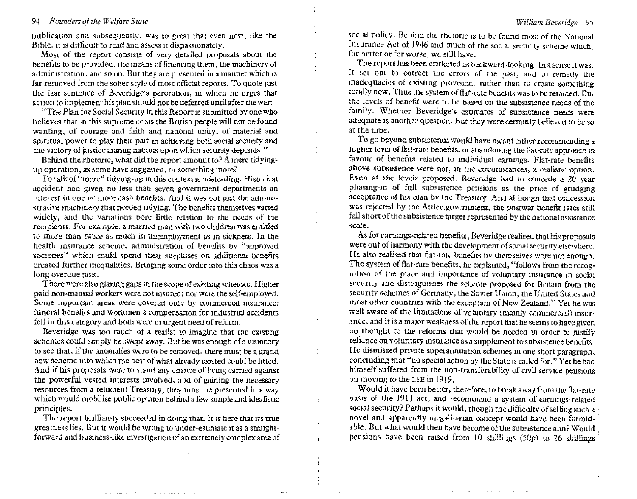#### 94 *Founders of the We/fare State*

**publication and** subsequently~ **was so great rhat even now, like the**  Bible, it is difficult to read and assess it dispassionately.

Most of the report consists of very detailed proposals about the benefits to be provided, the means of financing them, the machinery of administration, and so on. But they are presented in a manner which is far removed from the sober style of most official reports. To quote just the last sentence of Beveridge's peroration, in which he urges that action to impiement his plan should not be deferred until after the war:

"The Plan for Social Security in this Report is submitted by one who believes that in this supreme crisis the British people will not be found wanting, of courage and faith and national unity, of material and spiritual power to play their part in achieving both social security and the victory of justice among nations upon which security depends."

Behind the rhetoric, what did the report amount to? A mere tidyingup operation, as some have suggested, or something more?

To talk of "mere" tidying-up in this context is misleading. Historical accident had given no less than seven government departments an interest in one or more cash benefits. And it was not just the administrative machinery that needed tidying. The benefits themselves varied widely, and the variations bore little relation to the needs of the recipients. For example, a marned man with two children was entitled to more than twice as much in unemployment as in sickness. In the health insurance scheme, administration of benefits by "approved societies" which could spend their surpluses on additional benefits created further mequalities. Bringing some order into this chaos was a long overdue task.

There were also glarmg gaps in the scope of existmg schemes. Higher paid non-manual workers were not insured; nor were the self-employed. Some important areas were covered only by commercial insurance: funeral benefits and workmen's compensation for industrial accidents fell in this category and both were in urgent need of reform.

Beveridge was too much of a realist to imagine that the existing schemes could simply be swept away. But he was enough of a visionary to see that, if the anomalies were to be removed, there must be a grand new scheme into which the best of what already existed could be fitted. And if his proposals were to stand any chance of being carried against the powerful vested interests involved, and of gaining the necessary resources from a reluctant Treasury, they must be presented in a way which would mobilise public opinion behind a few simple and idealistic principles.

The report brilliantly succeeded in doing that. It is here that its true greatness lies. But it would be wrong to under-estimate it as a straightforward and business-like investigation of an extremely complex area of

social policy. Behind the rhetoric is to be found most of the National Insurance Act of 1946 and much of the social security scheme which, for better or for worse, we still have.

The report has been criticised as backward-looking. In a sense it was. It set out to correct the errors of the past, and to remedy the **Inadequacies of existing prOVISIon, rather than to create something**  totally new. Thus the system of flat-rate benefits was to be retained. But the levels of benefit were to be based on the subsistence needs of the family. Whether Beveridge's estimates of subsistence needs were adequate is another question. But they were certainly believed to be so at the ume,

To go beyond subsistence would have meant either recommending a higher level of fiat-rate benefits, or abandoning the fiat-rate approach in favour of benefits related to individual earnings. Flat-rate benefits above subsistence were not, in the circumstances, a realistic option. Even at the levels proposed, Beveridge had to concede a 20 year phasing-in of full subsistence pensions as the price of grudging acceptance of his plan by the Treasury. And although that concession was rejected by the Attlee government, the postwar benefit rates still fell short of the subsistence target represented by the national assistance scale.

As for earnings-related benefits. Beveridge realised that his proposals were out of harmony with the development of social security elsewhere. He also realised that flat-rate benefits by themselves were not enough. The system of flat-rate benefits, he explained, "follows from the recognation of the place and importance of voluntary msurance in social security and distinguishes the scheme proposed for Britain from the security schemes of Germany, the Soviet Union, the United States and most other countries with the exception of New Zealand." Yet he was well aware of the limitations of voluntary (mainly commercial) insurance, and it is a major weakness of the report that he seems to have given no thought to the reforms that would be needed in order to justify reliance on voluntary insurance as a supplement to subsistence benefits. He dismissed private superannuation schemes in one short paragraph, concluding that "no special action by the State is called for." Yet he had himself suffered from the non-transferability of civil service pensions on movIng to the LSE in 1919.

Would it have been better, therefore, to break away from the flat-rate basis of the 1911 act, and recommend a system of earnings-related social security? Perhaps it would, though the difficulty of selling such a novel and apparently megalitarian concept would have been formidable. But what would then have become of the subsistence aim? Would pensions have been ratsed from  $10$  shillings (50p) to 26 shillings :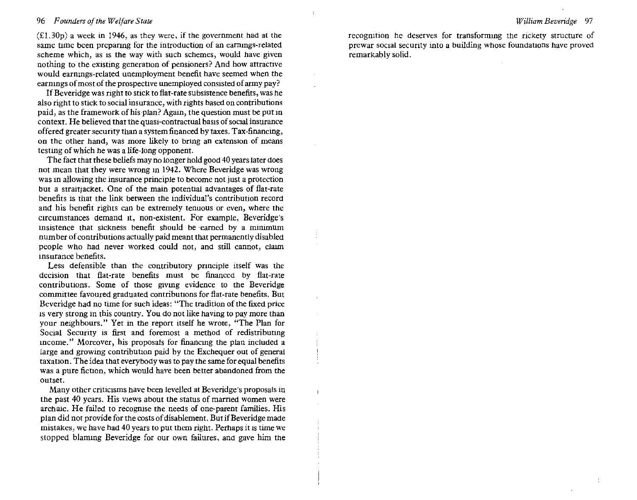#### *96 Founders of the Welfare State*

 $(£1.30<sub>D</sub>)$  a week in 1946, as they were, if the government had at the **same time been preparmg for the introduction of an earnmgs-related**  scheme which, as is the way with such schemes, would have given nothing to the existing generation of pensioners? And how attractive **would earnmgs-related unemployment benefit have seemed when the**  earnings of most of the prospective unemployed consisted of army pay?

If Beveridge was right to stick to flat-rate sUbsistence benefits, was he **also right to stick to social insurance, with rights based on contributions**  paid, as the framework of his plan? Agam, the question must be put m context. He believed that the quasi-contractual basis of social insurance offered greater security than a system financed by taxes. Tax-financing, on the other hand, was more likely to bring an extension of means testmg of which he was a life-long opponent.

The fact that these beliefs may no longer hold good 40 years later does not mean that they were wrong in 1942. Where Beveridge was wrong **was In allowing the insurance principle to become not just a protection**  but a straitjacket. One of the main potential advantages of flat-rate **benefits is that the link between the individual's contribution record and his benefit rights can be extremely tenuous or even, where the**  cIrcumstances demand It, non-existent. For example, Beveridge's **Insistence that sickness benefit should be -earned by a minimum**  number of contributions actually paid meant that permanently disabled people who had never worked could not, and still cannot, claim **insurance benefits.** 

Less defensible than the contributory principle itself was the **decision that flat-rate benefits must be financed by flat-rate**  contributions. Some of those giving evidence to the Beveridge committee favoured graduated contributions for flat-rate benefits. But **Beveridge had no time for such ideas: "The tradition of the fixed price**  IS very strong in this country. You do not like having to pay more than **your neighbours." Yet in the report itself he wrote, "The Plan for**  Social Security is first and foremost a method of redistributing Income." Moreover, his proposals for financing the plan included a large and growing contribution paid by the Exchequer out of general taxation. The idea that everybody was to pay the same for equal benefits was a pure fiction, which would have been better abandoned from the **outset.** 

Many other criticisms have been levelled at Beveridge's proposals in **the past 40 years. His VIews about the status of marned Women were**  archaic. He failed to recognise the needs of one-parent families. His plan did not provide for the costs of disablement. But if Beveridge made **mistakes, we have had 40 years to put them right. Perhaps it IS time we**  stopped blaming Beveridge for our own failures, and gave him the

 $\overline{1}$ 

**recognition he deserves for transformmg the rickety structure of**  prewar social security into a building whose foundations have proved remarkably solid.